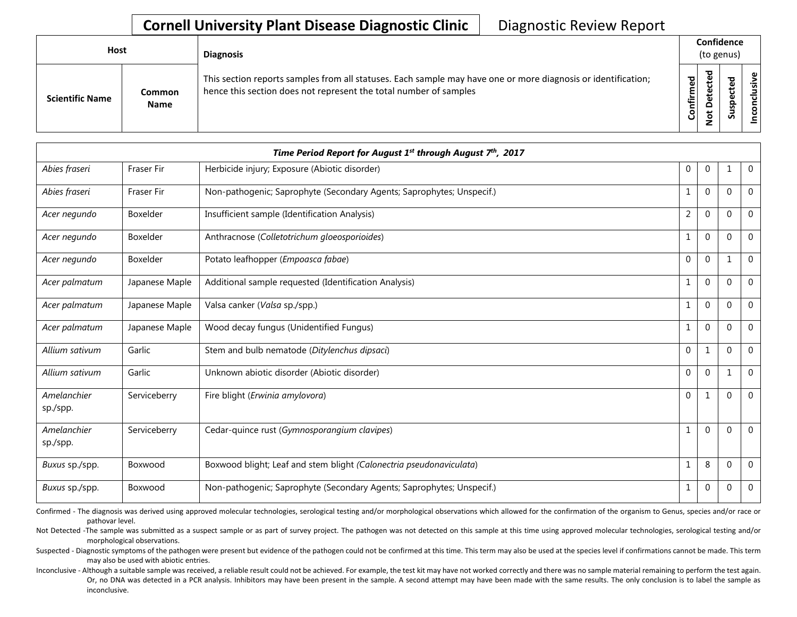| <b>Host</b>            |                       | <b>Diagnosis</b>                                                                                                                                                                   |           | Confidence<br>(to genus) |             |                                                           |  |  |
|------------------------|-----------------------|------------------------------------------------------------------------------------------------------------------------------------------------------------------------------------|-----------|--------------------------|-------------|-----------------------------------------------------------|--|--|
| <b>Scientific Name</b> | Common<br><b>Name</b> | This section reports samples from all statuses. Each sample may have one or more diagnosis or identification;<br>hence this section does not represent the total number of samples | Confirmed | ᇃ<br>≏<br>سە             | Q<br>š<br>ശ | $\tilde{\mathbf{z}}$<br>$\overline{\mathbf{s}}$<br>nconcl |  |  |

|                         |                | Time Period Report for August 1 <sup>st</sup> through August 7 <sup>th</sup> , 2017 |                |                  |             |                |
|-------------------------|----------------|-------------------------------------------------------------------------------------|----------------|------------------|-------------|----------------|
| Abies fraseri           | Fraser Fir     | Herbicide injury; Exposure (Abiotic disorder)                                       | 0              | $\boldsymbol{0}$ |             | $\mathbf 0$    |
| Abies fraseri           | Fraser Fir     | Non-pathogenic; Saprophyte (Secondary Agents; Saprophytes; Unspecif.)               | 1              | $\mathbf{0}$     | $\mathbf 0$ | $\mathbf 0$    |
| Acer negundo            | Boxelder       | Insufficient sample (Identification Analysis)                                       | $\overline{2}$ | $\mathbf{0}$     | $\Omega$    | $\mathbf 0$    |
| Acer negundo            | Boxelder       | Anthracnose (Colletotrichum gloeosporioides)                                        | 1              | $\mathbf{0}$     | $\Omega$    | $\overline{0}$ |
| Acer negundo            | Boxelder       | Potato leafhopper (Empoasca fabae)                                                  | $\mathbf 0$    | $\mathbf{0}$     | 1           | $\overline{0}$ |
| Acer palmatum           | Japanese Maple | Additional sample requested (Identification Analysis)                               |                | $\mathbf{0}$     | $\Omega$    | $\overline{0}$ |
| Acer palmatum           | Japanese Maple | Valsa canker (Valsa sp./spp.)                                                       | $\mathbf{1}$   | $\mathbf{0}$     | $\Omega$    | $\mathbf 0$    |
| Acer palmatum           | Japanese Maple | Wood decay fungus (Unidentified Fungus)                                             | 1              | $\mathbf{0}$     | $\Omega$    | 0              |
| Allium sativum          | Garlic         | Stem and bulb nematode (Ditylenchus dipsaci)                                        | $\mathbf{0}$   | 1                | $\Omega$    | $\overline{0}$ |
| Allium sativum          | Garlic         | Unknown abiotic disorder (Abiotic disorder)                                         | $\mathbf{0}$   | $\mathbf{0}$     |             | $\overline{0}$ |
| Amelanchier<br>sp./spp. | Serviceberry   | Fire blight (Erwinia amylovora)                                                     | $\mathbf{0}$   | 1                | $\Omega$    | $\mathbf 0$    |
| Amelanchier<br>sp./spp. | Serviceberry   | Cedar-quince rust (Gymnosporangium clavipes)                                        | 1              | $\mathbf{0}$     | $\Omega$    | $\overline{0}$ |
| Buxus sp./spp.          | Boxwood        | Boxwood blight; Leaf and stem blight (Calonectria pseudonaviculata)                 | $\mathbf{1}$   | 8                | $\mathbf 0$ | $\mathbf 0$    |
| Buxus sp./spp.          | Boxwood        | Non-pathogenic; Saprophyte (Secondary Agents; Saprophytes; Unspecif.)               | 1              | $\mathbf{0}$     | $\mathbf 0$ | $\overline{0}$ |

Confirmed - The diagnosis was derived using approved molecular technologies, serological testing and/or morphological observations which allowed for the confirmation of the organism to Genus, species and/or race or pathovar level.

Not Detected -The sample was submitted as a suspect sample or as part of survey project. The pathogen was not detected on this sample at this time using approved molecular technologies, serological testing and/or morphological observations.

Suspected - Diagnostic symptoms of the pathogen were present but evidence of the pathogen could not be confirmed at this time. This term may also be used at the species level if confirmations cannot be made. This term may also be used with abiotic entries.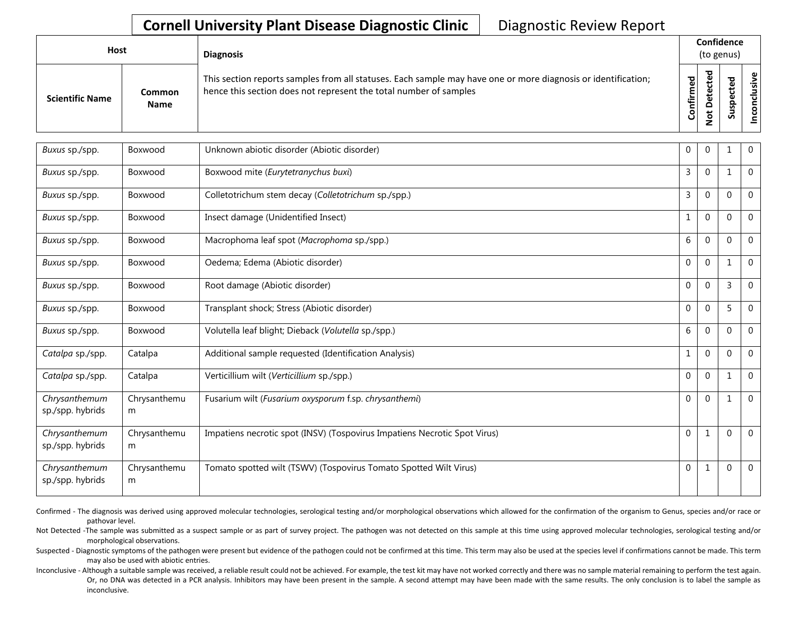| Host                   |                       | <b>Diagnosis</b>                                                                                                                                                                   |                       | Confidence<br>(to genus) |                         |                            |
|------------------------|-----------------------|------------------------------------------------------------------------------------------------------------------------------------------------------------------------------------|-----------------------|--------------------------|-------------------------|----------------------------|
| <b>Scientific Name</b> | Common<br><b>Name</b> | This section reports samples from all statuses. Each sample may have one or more diagnosis or identification;<br>hence this section does not represent the total number of samples | უ<br>მ<br>nfirm<br>පි | ≏                        | ъ<br>$\omega$<br>요<br>w | ု ပ<br>់ទី<br>$\circ$<br>Ō |

| Buxus sp./spp.                    | Boxwood           | Unknown abiotic disorder (Abiotic disorder)                               | 0            | $\mathbf{0}$ | 1            | $\mathbf 0$  |
|-----------------------------------|-------------------|---------------------------------------------------------------------------|--------------|--------------|--------------|--------------|
| Buxus sp./spp.                    | Boxwood           | Boxwood mite (Eurytetranychus buxi)                                       | 3            | $\mathbf{0}$ | $\mathbf{1}$ | $\mathbf 0$  |
| Buxus sp./spp.                    | Boxwood           | Colletotrichum stem decay (Colletotrichum sp./spp.)                       | 3            | $\mathbf 0$  | $\mathbf{0}$ | $\mathbf 0$  |
| Buxus sp./spp.                    | Boxwood           | Insect damage (Unidentified Insect)                                       | $\mathbf{1}$ | $\mathbf 0$  | $\Omega$     | $\Omega$     |
| Buxus sp./spp.                    | Boxwood           | Macrophoma leaf spot (Macrophoma sp./spp.)                                | 6            | $\mathbf 0$  | $\Omega$     | $\mathbf 0$  |
| Buxus sp./spp.                    | Boxwood           | Oedema; Edema (Abiotic disorder)                                          | $\mathbf 0$  | $\Omega$     | $\mathbf 1$  | $\mathbf{0}$ |
| Buxus sp./spp.                    | Boxwood           | Root damage (Abiotic disorder)                                            | $\mathbf 0$  | $\mathbf{0}$ | 3            | $\Omega$     |
| Buxus sp./spp.                    | Boxwood           | Transplant shock; Stress (Abiotic disorder)                               | $\mathbf 0$  | $\mathbf 0$  | 5            | $\Omega$     |
| Buxus sp./spp.                    | Boxwood           | Volutella leaf blight; Dieback (Volutella sp./spp.)                       | 6            | $\Omega$     | $\mathbf{0}$ | $\Omega$     |
| Catalpa sp./spp.                  | Catalpa           | Additional sample requested (Identification Analysis)                     | $\mathbf{1}$ | $\Omega$     | $\mathbf{0}$ | $\Omega$     |
| Catalpa sp./spp.                  | Catalpa           | Verticillium wilt (Verticillium sp./spp.)                                 | $\mathbf 0$  | $\mathbf{0}$ | $\mathbf{1}$ | $\mathbf 0$  |
| Chrysanthemum<br>sp./spp. hybrids | Chrysanthemu<br>m | Fusarium wilt (Fusarium oxysporum f.sp. chrysanthemi)                     | $\mathbf 0$  | $\mathbf 0$  | $\mathbf{1}$ | $\mathbf 0$  |
| Chrysanthemum<br>sp./spp. hybrids | Chrysanthemu<br>m | Impatiens necrotic spot (INSV) (Tospovirus Impatiens Necrotic Spot Virus) | $\mathbf 0$  | $\mathbf{1}$ | $\Omega$     | $\mathbf 0$  |
| Chrysanthemum<br>sp./spp. hybrids | Chrysanthemu<br>m | Tomato spotted wilt (TSWV) (Tospovirus Tomato Spotted Wilt Virus)         | $\mathbf 0$  | $\mathbf{1}$ | $\Omega$     | $\mathbf 0$  |

Confirmed - The diagnosis was derived using approved molecular technologies, serological testing and/or morphological observations which allowed for the confirmation of the organism to Genus, species and/or race or pathovar level.

Not Detected -The sample was submitted as a suspect sample or as part of survey project. The pathogen was not detected on this sample at this time using approved molecular technologies, serological testing and/or morphological observations.

Suspected - Diagnostic symptoms of the pathogen were present but evidence of the pathogen could not be confirmed at this time. This term may also be used at the species level if confirmations cannot be made. This term may also be used with abiotic entries.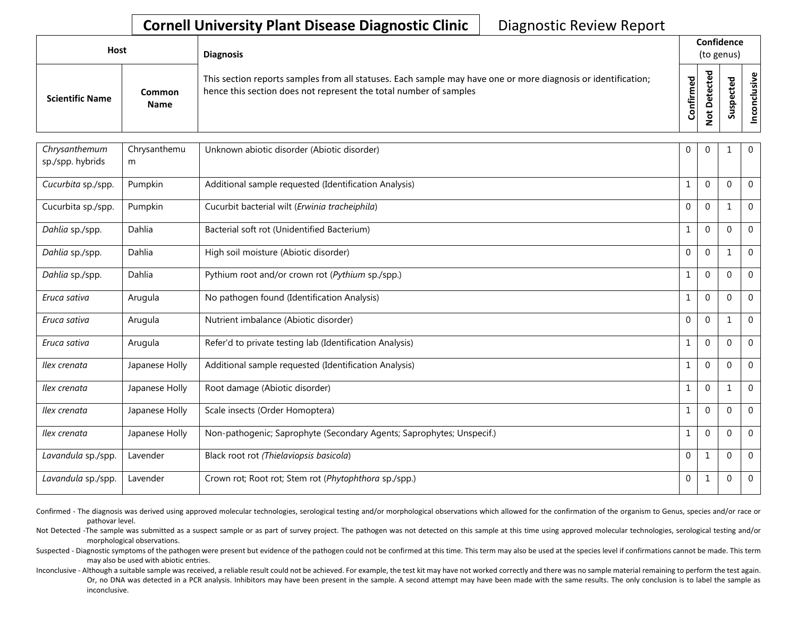| Host                   |                              | <b>Diagnosis</b>                                                                                                                                                                   |           | Confidence<br>(to genus)    |   |                      |
|------------------------|------------------------------|------------------------------------------------------------------------------------------------------------------------------------------------------------------------------------|-----------|-----------------------------|---|----------------------|
| <b>Scientific Name</b> | <b>Common</b><br><b>Name</b> | This section reports samples from all statuses. Each sample may have one or more diagnosis or identification;<br>hence this section does not represent the total number of samples | Confirmed | ᇃ<br>$\circ$<br>پ<br>-<br>- | ທ | ω<br>usiv<br>᠊ᠣ<br>ū |

| Chrysanthemum      | Chrysanthemu   | Unknown abiotic disorder (Abiotic disorder)                           | 0            | $\mathbf{0}$ | 1            | $\overline{0}$ |
|--------------------|----------------|-----------------------------------------------------------------------|--------------|--------------|--------------|----------------|
| sp./spp. hybrids   | m              |                                                                       |              |              |              |                |
| Cucurbita sp./spp. | Pumpkin        | Additional sample requested (Identification Analysis)                 | $\mathbf{1}$ | $\Omega$     | $\Omega$     | $\overline{0}$ |
| Cucurbita sp./spp. | Pumpkin        | Cucurbit bacterial wilt (Erwinia tracheiphila)                        | $\mathbf 0$  | $\mathbf 0$  | $\mathbf{1}$ | $\mathbf 0$    |
| Dahlia sp./spp.    | Dahlia         | Bacterial soft rot (Unidentified Bacterium)                           | $\mathbf{1}$ | $\Omega$     | $\Omega$     | $\Omega$       |
| Dahlia sp./spp.    | Dahlia         | High soil moisture (Abiotic disorder)                                 | $\mathbf 0$  | $\mathbf 0$  | 1            | $\mathbf 0$    |
| Dahlia sp./spp.    | Dahlia         | Pythium root and/or crown rot (Pythium sp./spp.)                      | $\mathbf{1}$ | $\mathbf 0$  | $\Omega$     | $\mathbf 0$    |
| Eruca sativa       | Arugula        | No pathogen found (Identification Analysis)                           | $\mathbf{1}$ | $\Omega$     | $\mathbf{0}$ | $\Omega$       |
| Eruca sativa       | Arugula        | Nutrient imbalance (Abiotic disorder)                                 | $\Omega$     | $\mathbf{0}$ | 1            | $\mathbf 0$    |
| Eruca sativa       | Arugula        | Refer'd to private testing lab (Identification Analysis)              | $\mathbf{1}$ | $\mathbf{0}$ | $\Omega$     | $\mathbf 0$    |
| Ilex crenata       | Japanese Holly | Additional sample requested (Identification Analysis)                 | $\mathbf{1}$ | $\mathbf{0}$ | $\Omega$     | $\mathbf 0$    |
| Ilex crenata       | Japanese Holly | Root damage (Abiotic disorder)                                        | $\mathbf{1}$ | $\mathbf 0$  | 1            | $\Omega$       |
| Ilex crenata       | Japanese Holly | Scale insects (Order Homoptera)                                       | $\mathbf{1}$ | $\mathbf{0}$ | $\Omega$     | $\Omega$       |
| Ilex crenata       | Japanese Holly | Non-pathogenic; Saprophyte (Secondary Agents; Saprophytes; Unspecif.) | $\mathbf{1}$ | $\mathbf{0}$ | $\mathbf{0}$ | $\mathbf 0$    |
| Lavandula sp./spp. | Lavender       | Black root rot (Thielaviopsis basicola)                               | $\mathbf 0$  | 1            | $\Omega$     | $\mathbf{0}$   |
| Lavandula sp./spp. | Lavender       | Crown rot; Root rot; Stem rot (Phytophthora sp./spp.)                 | $\mathbf 0$  | $\mathbf{1}$ | 0            | $\overline{0}$ |

Confirmed - The diagnosis was derived using approved molecular technologies, serological testing and/or morphological observations which allowed for the confirmation of the organism to Genus, species and/or race or pathovar level.

Not Detected -The sample was submitted as a suspect sample or as part of survey project. The pathogen was not detected on this sample at this time using approved molecular technologies, serological testing and/or morphological observations.

Suspected - Diagnostic symptoms of the pathogen were present but evidence of the pathogen could not be confirmed at this time. This term may also be used at the species level if confirmations cannot be made. This term may also be used with abiotic entries.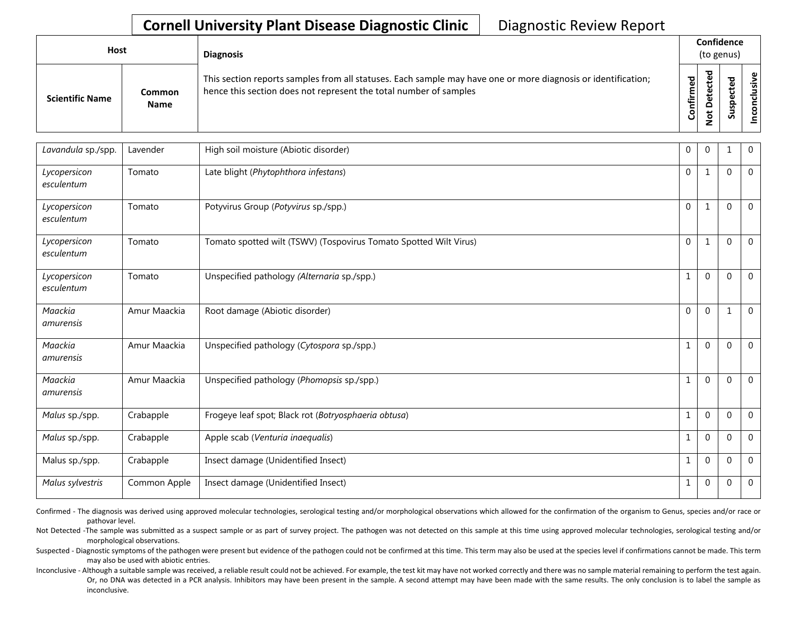| Host                   |                       | <b>Diagnosis</b>                                                                                                                                                                   |           | Confidence<br>(to genus) |  |                                      |  |  |  |
|------------------------|-----------------------|------------------------------------------------------------------------------------------------------------------------------------------------------------------------------------|-----------|--------------------------|--|--------------------------------------|--|--|--|
| <b>Scientific Name</b> | Common<br><b>Name</b> | This section reports samples from all statuses. Each sample may have one or more diagnosis or identification;<br>hence this section does not represent the total number of samples | Confirmed | ᇃ<br>≏                   |  | $\tilde{\mathbf{z}}$<br>š<br>᠊ᠣ<br>g |  |  |  |

| Lavandula sp./spp.         | Lavender     | High soil moisture (Abiotic disorder)                             | 0            | $\mathbf{0}$ | $\mathbf 1$  | $\mathbf{0}$   |
|----------------------------|--------------|-------------------------------------------------------------------|--------------|--------------|--------------|----------------|
| Lycopersicon<br>esculentum | Tomato       | Late blight (Phytophthora infestans)                              | $\mathbf 0$  | $\mathbf{1}$ | $\Omega$     | $\mathbf 0$    |
| Lycopersicon<br>esculentum | Tomato       | Potyvirus Group (Potyvirus sp./spp.)                              | $\mathbf 0$  | $\mathbf{1}$ | 0            | $\mathbf 0$    |
| Lycopersicon<br>esculentum | Tomato       | Tomato spotted wilt (TSWV) (Tospovirus Tomato Spotted Wilt Virus) | $\Omega$     | $\mathbf{1}$ | $\mathbf{0}$ | $\mathbf 0$    |
| Lycopersicon<br>esculentum | Tomato       | Unspecified pathology (Alternaria sp./spp.)                       | $\mathbf{1}$ | $\mathbf 0$  | $\Omega$     | $\mathbf 0$    |
| Maackia<br>amurensis       | Amur Maackia | Root damage (Abiotic disorder)                                    | $\mathbf 0$  | $\mathbf 0$  | $\mathbf{1}$ | $\mathbf 0$    |
| Maackia<br>amurensis       | Amur Maackia | Unspecified pathology (Cytospora sp./spp.)                        | $\mathbf{1}$ | $\mathbf 0$  | $\mathbf{0}$ | $\mathbf 0$    |
| Maackia<br>amurensis       | Amur Maackia | Unspecified pathology (Phomopsis sp./spp.)                        | $\mathbf{1}$ | $\mathbf 0$  | $\Omega$     | $\mathbf 0$    |
| Malus sp./spp.             | Crabapple    | Frogeye leaf spot; Black rot (Botryosphaeria obtusa)              | $\mathbf{1}$ | $\Omega$     | $\theta$     | $\overline{0}$ |
| Malus sp./spp.             | Crabapple    | Apple scab (Venturia inaequalis)                                  | $\mathbf{1}$ | $\Omega$     | $\Omega$     | $\overline{0}$ |
| Malus sp./spp.             | Crabapple    | Insect damage (Unidentified Insect)                               | $\mathbf 1$  | $\mathbf 0$  | $\mathbf{0}$ | $\mathbf 0$    |
| Malus sylvestris           | Common Apple | Insect damage (Unidentified Insect)                               | $\mathbf{1}$ | $\mathbf 0$  | $\mathbf{0}$ | $\overline{0}$ |

Confirmed - The diagnosis was derived using approved molecular technologies, serological testing and/or morphological observations which allowed for the confirmation of the organism to Genus, species and/or race or pathovar level.

Not Detected -The sample was submitted as a suspect sample or as part of survey project. The pathogen was not detected on this sample at this time using approved molecular technologies, serological testing and/or morphological observations.

Suspected - Diagnostic symptoms of the pathogen were present but evidence of the pathogen could not be confirmed at this time. This term may also be used at the species level if confirmations cannot be made. This term may also be used with abiotic entries.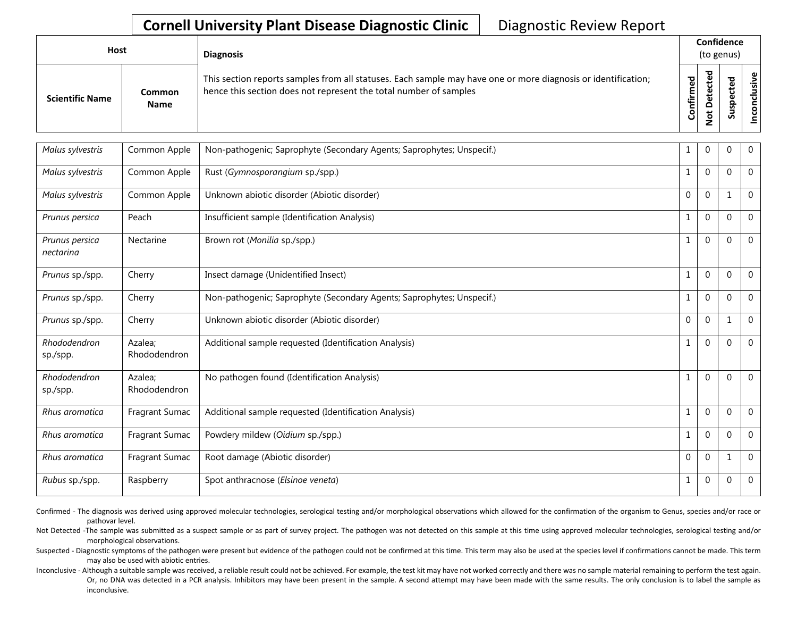| Host                   |                              | <b>Diagnosis</b>                                                                                                                                                                   |           | Confidence<br>(to genus) |                  |                             |  |  |  |
|------------------------|------------------------------|------------------------------------------------------------------------------------------------------------------------------------------------------------------------------------|-----------|--------------------------|------------------|-----------------------------|--|--|--|
| <b>Scientific Name</b> | <b>Common</b><br><b>Name</b> | This section reports samples from all statuses. Each sample may have one or more diagnosis or identification;<br>hence this section does not represent the total number of samples | Confirmed | ᇃ<br>Φ<br>c<br>c<br>°    | 으<br>s<br>-<br>ഗ | $\mathbf{\omega}$<br>≝<br>Ō |  |  |  |

| Malus sylvestris            | Common Apple            | Non-pathogenic; Saprophyte (Secondary Agents; Saprophytes; Unspecif.) | 1            | $\pmb{0}$    | $\mathbf{0}$ | $\mathbf 0$    |
|-----------------------------|-------------------------|-----------------------------------------------------------------------|--------------|--------------|--------------|----------------|
| Malus sylvestris            | Common Apple            | Rust (Gymnosporangium sp./spp.)                                       | $\mathbf{1}$ | $\mathbf{0}$ | $\Omega$     | $\mathbf 0$    |
| Malus sylvestris            | Common Apple            | Unknown abiotic disorder (Abiotic disorder)                           | $\mathbf 0$  | $\mathbf 0$  | 1            | $\overline{0}$ |
| Prunus persica              | Peach                   | Insufficient sample (Identification Analysis)                         | $\mathbf{1}$ | $\mathbf 0$  | $\Omega$     | $\Omega$       |
| Prunus persica<br>nectarina | Nectarine               | Brown rot (Monilia sp./spp.)                                          | $\mathbf{1}$ | $\mathbf 0$  | $\Omega$     | $\mathbf 0$    |
| Prunus sp./spp.             | Cherry                  | Insect damage (Unidentified Insect)                                   | $\mathbf{1}$ | $\mathbf 0$  | $\Omega$     | $\mathbf 0$    |
| Prunus sp./spp.             | Cherry                  | Non-pathogenic; Saprophyte (Secondary Agents; Saprophytes; Unspecif.) | $\mathbf{1}$ | $\Omega$     | $\Omega$     | $\Omega$       |
| Prunus sp./spp.             | Cherry                  | Unknown abiotic disorder (Abiotic disorder)                           | $\mathbf 0$  | $\mathbf{0}$ | 1            | $\mathbf 0$    |
| Rhododendron<br>sp./spp.    | Azalea;<br>Rhododendron | Additional sample requested (Identification Analysis)                 | $\mathbf{1}$ | $\mathbf{0}$ | $\Omega$     | $\mathbf 0$    |
| Rhododendron<br>sp./spp.    | Azalea;<br>Rhododendron | No pathogen found (Identification Analysis)                           | $\mathbf{1}$ | $\mathbf 0$  | $\mathbf 0$  | $\mathbf 0$    |
| Rhus aromatica              | Fragrant Sumac          | Additional sample requested (Identification Analysis)                 | $\mathbf 1$  | $\mathbf 0$  | $\Omega$     | $\Omega$       |
| Rhus aromatica              | Fragrant Sumac          | Powdery mildew (Oidium sp./spp.)                                      | $\mathbf{1}$ | $\mathbf{0}$ | $\mathbf{0}$ | $\overline{0}$ |
| Rhus aromatica              | Fragrant Sumac          | Root damage (Abiotic disorder)                                        | $\mathbf 0$  | $\mathbf{0}$ | 1            | $\Omega$       |
| <i>Rubus sp./spp.</i>       | Raspberry               | Spot anthracnose (Elsinoe veneta)                                     | $\mathbf{1}$ | $\mathbf{0}$ | 0            | $\overline{0}$ |

Confirmed - The diagnosis was derived using approved molecular technologies, serological testing and/or morphological observations which allowed for the confirmation of the organism to Genus, species and/or race or pathovar level.

Not Detected -The sample was submitted as a suspect sample or as part of survey project. The pathogen was not detected on this sample at this time using approved molecular technologies, serological testing and/or morphological observations.

Suspected - Diagnostic symptoms of the pathogen were present but evidence of the pathogen could not be confirmed at this time. This term may also be used at the species level if confirmations cannot be made. This term may also be used with abiotic entries.